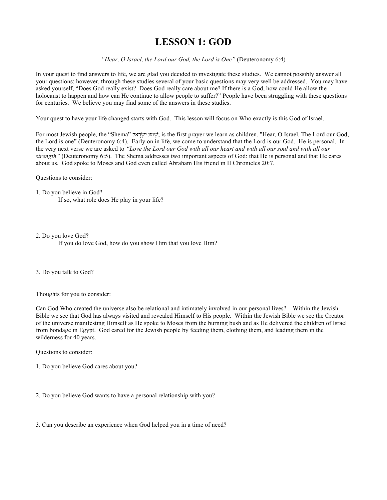# **LESSON 1: GOD**

*"Hear, O Israel, the Lord our God, the Lord is One"* (Deuteronomy 6:4)

In your quest to find answers to life, we are glad you decided to investigate these studies. We cannot possibly answer all your questions; however, through these studies several of your basic questions may very well be addressed. You may have asked yourself, "Does God really exist? Does God really care about me? If there is a God, how could He allow the holocaust to happen and how can He continue to allow people to suffer?" People have been struggling with these questions for centuries. We believe you may find some of the answers in these studies.

Your quest to have your life changed starts with God. This lesson will focus on Who exactly is this God of Israel.

For most Jewish people, the "Shema" לָשְׁמַע יִשׂרָאֵל ; is the first prayer we learn as children. "Hear, O Israel, The Lord our God, the Lord is one" (Deuteronomy 6:4). Early on in life, we come to understand that the Lord is our God. He is personal. In the very next verse we are asked to *"Love the Lord our God with all our heart and with all our soul and with all our strength"* (Deuteronomy 6:5). The Shema addresses two important aspects of God: that He is personal and that He cares about us. God spoke to Moses and God even called Abraham His friend in II Chronicles 20:7.

## Questions to consider:

1. Do you believe in God? If so, what role does He play in your life?

2. Do you love God?

If you do love God, how do you show Him that you love Him?

## 3. Do you talk to God?

## Thoughts for you to consider:

Can God Who created the universe also be relational and intimately involved in our personal lives? Within the Jewish Bible we see that God has always visited and revealed Himself to His people. Within the Jewish Bible we see the Creator of the universe manifesting Himself as He spoke to Moses from the burning bush and as He delivered the children of Israel from bondage in Egypt. God cared for the Jewish people by feeding them, clothing them, and leading them in the wilderness for 40 years.

## Questions to consider:

- 1. Do you believe God cares about you?
- 2. Do you believe God wants to have a personal relationship with you?

3. Can you describe an experience when God helped you in a time of need?